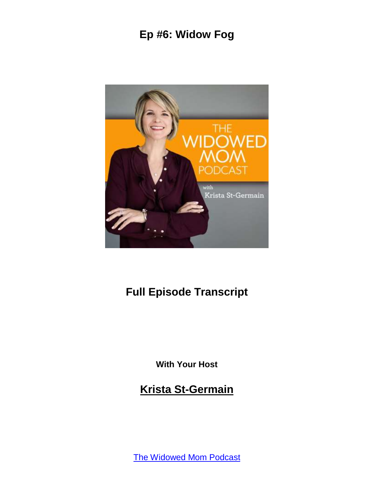

# **Full Episode Transcript**

**With Your Host**

**Krista St-Germain**

[The Widowed Mom Podcast](https://coachingwithkrista.com/podcast)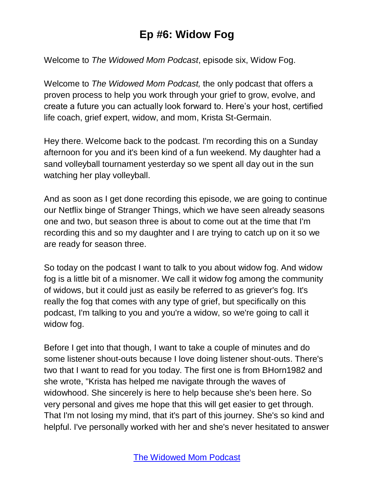Welcome to *The Widowed Mom Podcast*, episode six, Widow Fog.

Welcome to *The Widowed Mom Podcast,* the only podcast that offers a proven process to help you work through your grief to grow, evolve, and create a future you can actually look forward to. Here's your host, certified life coach, grief expert, widow, and mom, Krista St-Germain.

Hey there. Welcome back to the podcast. I'm recording this on a Sunday afternoon for you and it's been kind of a fun weekend. My daughter had a sand volleyball tournament yesterday so we spent all day out in the sun watching her play volleyball.

And as soon as I get done recording this episode, we are going to continue our Netflix binge of Stranger Things, which we have seen already seasons one and two, but season three is about to come out at the time that I'm recording this and so my daughter and I are trying to catch up on it so we are ready for season three.

So today on the podcast I want to talk to you about widow fog. And widow fog is a little bit of a misnomer. We call it widow fog among the community of widows, but it could just as easily be referred to as griever's fog. It's really the fog that comes with any type of grief, but specifically on this podcast, I'm talking to you and you're a widow, so we're going to call it widow fog.

Before I get into that though, I want to take a couple of minutes and do some listener shout-outs because I love doing listener shout-outs. There's two that I want to read for you today. The first one is from BHorn1982 and she wrote, "Krista has helped me navigate through the waves of widowhood. She sincerely is here to help because she's been here. So very personal and gives me hope that this will get easier to get through. That I'm not losing my mind, that it's part of this journey. She's so kind and helpful. I've personally worked with her and she's never hesitated to answer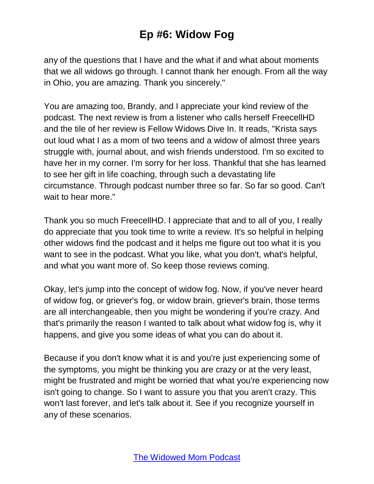any of the questions that I have and the what if and what about moments that we all widows go through. I cannot thank her enough. From all the way in Ohio, you are amazing. Thank you sincerely."

You are amazing too, Brandy, and I appreciate your kind review of the podcast. The next review is from a listener who calls herself FreecellHD and the tile of her review is Fellow Widows Dive In. It reads, "Krista says out loud what I as a mom of two teens and a widow of almost three years struggle with, journal about, and wish friends understood. I'm so excited to have her in my corner. I'm sorry for her loss. Thankful that she has learned to see her gift in life coaching, through such a devastating life circumstance. Through podcast number three so far. So far so good. Can't wait to hear more."

Thank you so much FreecellHD. I appreciate that and to all of you, I really do appreciate that you took time to write a review. It's so helpful in helping other widows find the podcast and it helps me figure out too what it is you want to see in the podcast. What you like, what you don't, what's helpful, and what you want more of. So keep those reviews coming.

Okay, let's jump into the concept of widow fog. Now, if you've never heard of widow fog, or griever's fog, or widow brain, griever's brain, those terms are all interchangeable, then you might be wondering if you're crazy. And that's primarily the reason I wanted to talk about what widow fog is, why it happens, and give you some ideas of what you can do about it.

Because if you don't know what it is and you're just experiencing some of the symptoms, you might be thinking you are crazy or at the very least, might be frustrated and might be worried that what you're experiencing now isn't going to change. So I want to assure you that you aren't crazy. This won't last forever, and let's talk about it. See if you recognize yourself in any of these scenarios.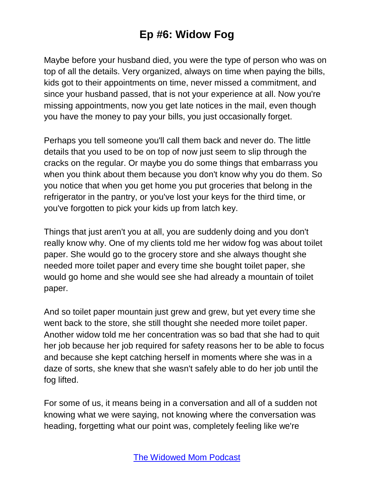Maybe before your husband died, you were the type of person who was on top of all the details. Very organized, always on time when paying the bills, kids got to their appointments on time, never missed a commitment, and since your husband passed, that is not your experience at all. Now you're missing appointments, now you get late notices in the mail, even though you have the money to pay your bills, you just occasionally forget.

Perhaps you tell someone you'll call them back and never do. The little details that you used to be on top of now just seem to slip through the cracks on the regular. Or maybe you do some things that embarrass you when you think about them because you don't know why you do them. So you notice that when you get home you put groceries that belong in the refrigerator in the pantry, or you've lost your keys for the third time, or you've forgotten to pick your kids up from latch key.

Things that just aren't you at all, you are suddenly doing and you don't really know why. One of my clients told me her widow fog was about toilet paper. She would go to the grocery store and she always thought she needed more toilet paper and every time she bought toilet paper, she would go home and she would see she had already a mountain of toilet paper.

And so toilet paper mountain just grew and grew, but yet every time she went back to the store, she still thought she needed more toilet paper. Another widow told me her concentration was so bad that she had to quit her job because her job required for safety reasons her to be able to focus and because she kept catching herself in moments where she was in a daze of sorts, she knew that she wasn't safely able to do her job until the fog lifted.

For some of us, it means being in a conversation and all of a sudden not knowing what we were saying, not knowing where the conversation was heading, forgetting what our point was, completely feeling like we're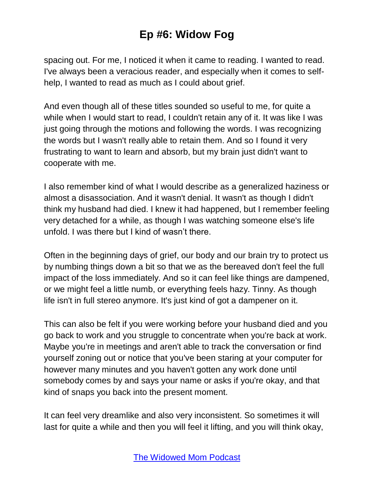spacing out. For me, I noticed it when it came to reading. I wanted to read. I've always been a veracious reader, and especially when it comes to selfhelp, I wanted to read as much as I could about grief.

And even though all of these titles sounded so useful to me, for quite a while when I would start to read, I couldn't retain any of it. It was like I was just going through the motions and following the words. I was recognizing the words but I wasn't really able to retain them. And so I found it very frustrating to want to learn and absorb, but my brain just didn't want to cooperate with me.

I also remember kind of what I would describe as a generalized haziness or almost a disassociation. And it wasn't denial. It wasn't as though I didn't think my husband had died. I knew it had happened, but I remember feeling very detached for a while, as though I was watching someone else's life unfold. I was there but I kind of wasn't there.

Often in the beginning days of grief, our body and our brain try to protect us by numbing things down a bit so that we as the bereaved don't feel the full impact of the loss immediately. And so it can feel like things are dampened, or we might feel a little numb, or everything feels hazy. Tinny. As though life isn't in full stereo anymore. It's just kind of got a dampener on it.

This can also be felt if you were working before your husband died and you go back to work and you struggle to concentrate when you're back at work. Maybe you're in meetings and aren't able to track the conversation or find yourself zoning out or notice that you've been staring at your computer for however many minutes and you haven't gotten any work done until somebody comes by and says your name or asks if you're okay, and that kind of snaps you back into the present moment.

It can feel very dreamlike and also very inconsistent. So sometimes it will last for quite a while and then you will feel it lifting, and you will think okay,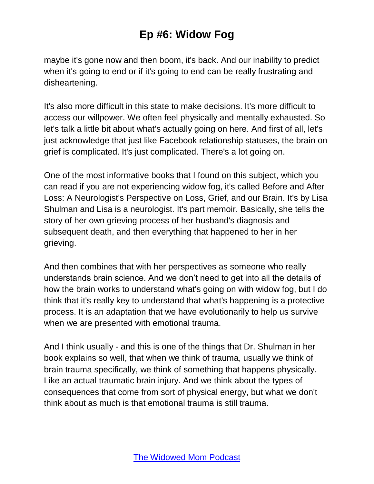maybe it's gone now and then boom, it's back. And our inability to predict when it's going to end or if it's going to end can be really frustrating and disheartening.

It's also more difficult in this state to make decisions. It's more difficult to access our willpower. We often feel physically and mentally exhausted. So let's talk a little bit about what's actually going on here. And first of all, let's just acknowledge that just like Facebook relationship statuses, the brain on grief is complicated. It's just complicated. There's a lot going on.

One of the most informative books that I found on this subject, which you can read if you are not experiencing widow fog, it's called Before and After Loss: A Neurologist's Perspective on Loss, Grief, and our Brain. It's by Lisa Shulman and Lisa is a neurologist. It's part memoir. Basically, she tells the story of her own grieving process of her husband's diagnosis and subsequent death, and then everything that happened to her in her grieving.

And then combines that with her perspectives as someone who really understands brain science. And we don't need to get into all the details of how the brain works to understand what's going on with widow fog, but I do think that it's really key to understand that what's happening is a protective process. It is an adaptation that we have evolutionarily to help us survive when we are presented with emotional trauma.

And I think usually - and this is one of the things that Dr. Shulman in her book explains so well, that when we think of trauma, usually we think of brain trauma specifically, we think of something that happens physically. Like an actual traumatic brain injury. And we think about the types of consequences that come from sort of physical energy, but what we don't think about as much is that emotional trauma is still trauma.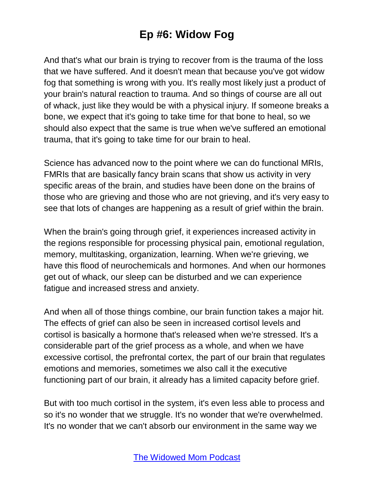And that's what our brain is trying to recover from is the trauma of the loss that we have suffered. And it doesn't mean that because you've got widow fog that something is wrong with you. It's really most likely just a product of your brain's natural reaction to trauma. And so things of course are all out of whack, just like they would be with a physical injury. If someone breaks a bone, we expect that it's going to take time for that bone to heal, so we should also expect that the same is true when we've suffered an emotional trauma, that it's going to take time for our brain to heal.

Science has advanced now to the point where we can do functional MRIs, FMRIs that are basically fancy brain scans that show us activity in very specific areas of the brain, and studies have been done on the brains of those who are grieving and those who are not grieving, and it's very easy to see that lots of changes are happening as a result of grief within the brain.

When the brain's going through grief, it experiences increased activity in the regions responsible for processing physical pain, emotional regulation, memory, multitasking, organization, learning. When we're grieving, we have this flood of neurochemicals and hormones. And when our hormones get out of whack, our sleep can be disturbed and we can experience fatigue and increased stress and anxiety.

And when all of those things combine, our brain function takes a major hit. The effects of grief can also be seen in increased cortisol levels and cortisol is basically a hormone that's released when we're stressed. It's a considerable part of the grief process as a whole, and when we have excessive cortisol, the prefrontal cortex, the part of our brain that regulates emotions and memories, sometimes we also call it the executive functioning part of our brain, it already has a limited capacity before grief.

But with too much cortisol in the system, it's even less able to process and so it's no wonder that we struggle. It's no wonder that we're overwhelmed. It's no wonder that we can't absorb our environment in the same way we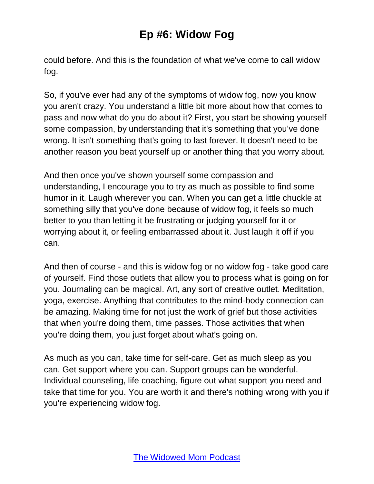could before. And this is the foundation of what we've come to call widow fog.

So, if you've ever had any of the symptoms of widow fog, now you know you aren't crazy. You understand a little bit more about how that comes to pass and now what do you do about it? First, you start be showing yourself some compassion, by understanding that it's something that you've done wrong. It isn't something that's going to last forever. It doesn't need to be another reason you beat yourself up or another thing that you worry about.

And then once you've shown yourself some compassion and understanding, I encourage you to try as much as possible to find some humor in it. Laugh wherever you can. When you can get a little chuckle at something silly that you've done because of widow fog, it feels so much better to you than letting it be frustrating or judging yourself for it or worrying about it, or feeling embarrassed about it. Just laugh it off if you can.

And then of course - and this is widow fog or no widow fog - take good care of yourself. Find those outlets that allow you to process what is going on for you. Journaling can be magical. Art, any sort of creative outlet. Meditation, yoga, exercise. Anything that contributes to the mind-body connection can be amazing. Making time for not just the work of grief but those activities that when you're doing them, time passes. Those activities that when you're doing them, you just forget about what's going on.

As much as you can, take time for self-care. Get as much sleep as you can. Get support where you can. Support groups can be wonderful. Individual counseling, life coaching, figure out what support you need and take that time for you. You are worth it and there's nothing wrong with you if you're experiencing widow fog.